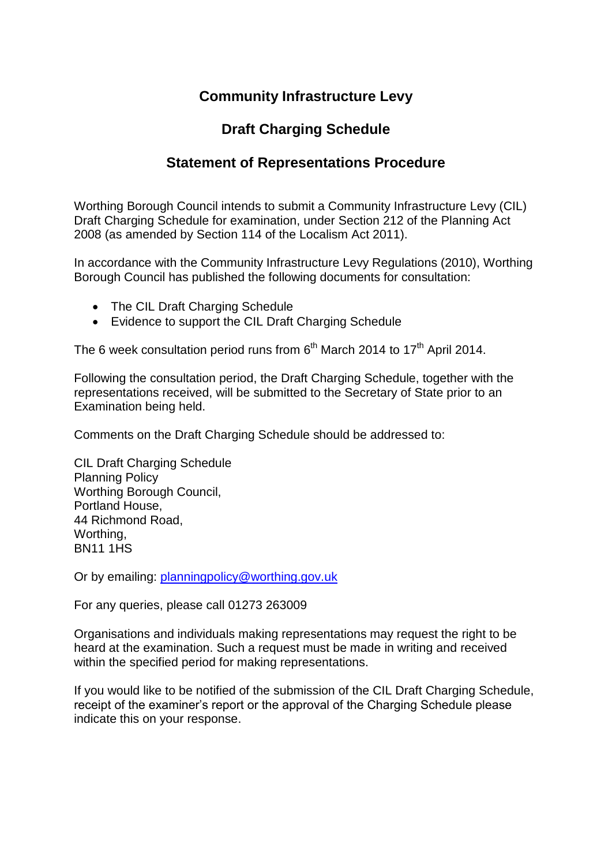## **Community Infrastructure Levy**

## **Draft Charging Schedule**

## **Statement of Representations Procedure**

Worthing Borough Council intends to submit a Community Infrastructure Levy (CIL) Draft Charging Schedule for examination, under Section 212 of the Planning Act 2008 (as amended by Section 114 of the Localism Act 2011).

In accordance with the Community Infrastructure Levy Regulations (2010), Worthing Borough Council has published the following documents for consultation:

- The CIL Draft Charging Schedule
- Evidence to support the CIL Draft Charging Schedule

The 6 week consultation period runs from  $6<sup>th</sup>$  March 2014 to 17<sup>th</sup> April 2014.

Following the consultation period, the Draft Charging Schedule, together with the representations received, will be submitted to the Secretary of State prior to an Examination being held.

Comments on the Draft Charging Schedule should be addressed to:

CIL Draft Charging Schedule Planning Policy Worthing Borough Council, Portland House, 44 Richmond Road, Worthing, BN11 1HS

Or by emailing: [planningpolicy@worthing.gov.uk](mailto:planningpolicy@worthing.gov.uk)

For any queries, please call 01273 263009

Organisations and individuals making representations may request the right to be heard at the examination. Such a request must be made in writing and received within the specified period for making representations.

If you would like to be notified of the submission of the CIL Draft Charging Schedule, receipt of the examiner's report or the approval of the Charging Schedule please indicate this on your response.